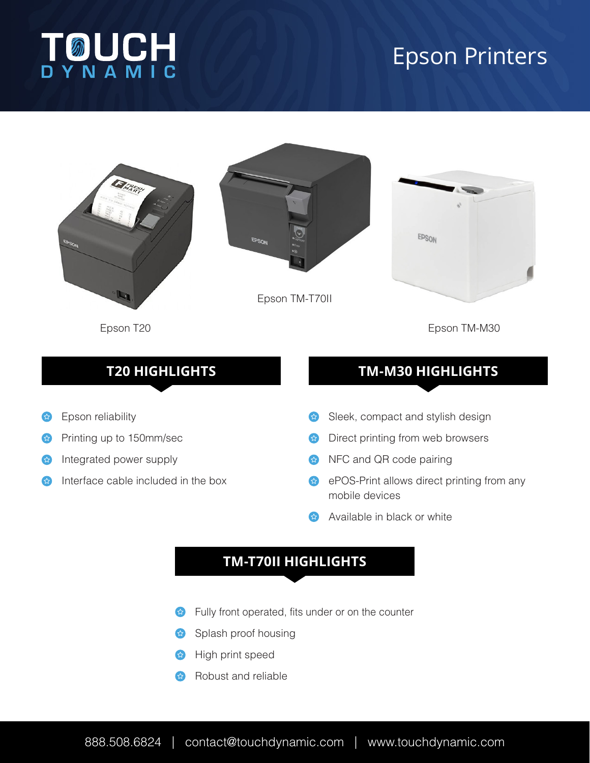

# Epson Printers



Epson T20

Epson TM-M30

# **T20 HIGHLIGHTS**

- Epson reliability 公
- Printing up to 150mm/sec 公
- Integrated power supply  $\left\{ \right.$
- Interface cable included in the box

# **TM-M30 HIGHLIGHTS**

- Sleek, compact and stylish design  $\left( \begin{smallmatrix} 1\\ 1\\ 1\\ 1 \end{smallmatrix} \right)$
- **B** Direct printing from web browsers
- $\leftrightarrow$  NFC and QR code pairing
- **ePOS-Print allows direct printing from any** mobile devices
- Available in black or white

# **TM-T70II HIGHLIGHTS**

- Fully front operated, fits under or on the counter
- Splash proof housing
- High print speed
- Robust and reliable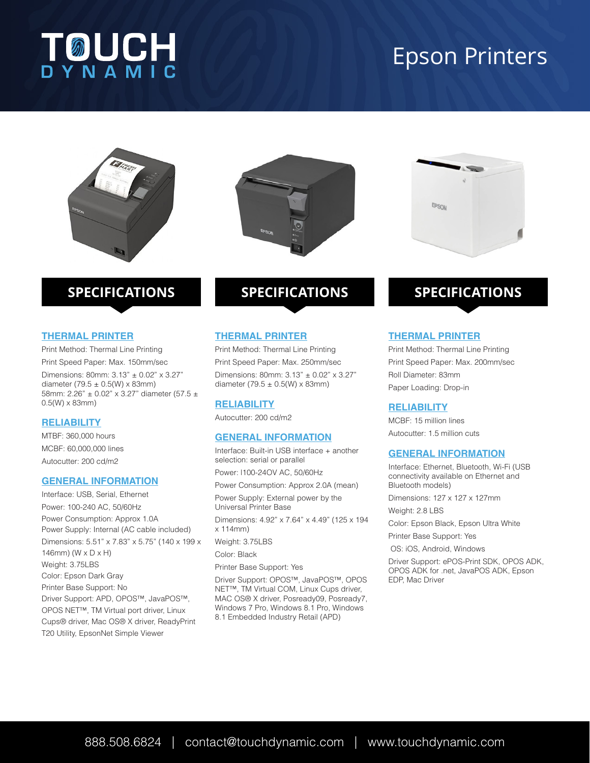# **TOUCH**

# Epson Printers





# **SPECIFICATIONS**

#### **THERMAL PRINTER**

Print Method: Thermal Line Printing Print Speed Paper: Max. 150mm/sec Dimensions: 80mm: 3.13" ± 0.02" x 3.27" diameter (79.5  $\pm$  0.5(W) x 83mm) 58mm: 2.26" ± 0.02" x 3.27" diameter (57.5 ± 0.5(W) x 83mm)

#### **RELIABILITY**

MTBF: 360,000 hours MCBF: 60,000,000 lines Autocutter: 200 cd/m2

#### **GENERAL INFORMATION**

Interface: USB, Serial, Ethernet Power: 100-240 AC, 50/60Hz Power Consumption: Approx 1.0A Power Supply: Internal (AC cable included) Dimensions: 5.51" x 7.83" x 5.75" (140 x 199 x 146mm) (W x D x H) Weight: 3.75LBS Color: Epson Dark Gray Printer Base Support: No Driver Support: APD, OPOS™, JavaPOS™, OPOS NET™, TM Virtual port driver, Linux Cups® driver, Mac OS® X driver, ReadyPrint T20 Utility, EpsonNet Simple Viewer

# **SPECIFICATIONS**

### **THERMAL PRINTER**

Print Method: Thermal Line Printing Print Speed Paper: Max. 250mm/sec Dimensions: 80mm: 3.13" ± 0.02" x 3.27" diameter  $(79.5 \pm 0.5)$  (W) x 83mm)

#### **RELIABILITY**

Autocutter: 200 cd/m2

#### **GENERAL INFORMATION**

Interface: Built-in USB interface + another selection: serial or parallel

Power: l100-24OV AC, 50/60Hz

Power Consumption: Approx 2.0A (mean)

Power Supply: External power by the Universal Printer Base Dimensions: 4.92" x 7.64" x 4.49" (125 x 194 x 114mm)

Weight: 3.75LBS

Color: Black

Printer Base Support: Yes

Driver Support: OPOS™, JavaPOS™, OPOS NET™, TM Virtual COM, Linux Cups driver, MAC OS® X driver, Posready09, Posready7, Windows 7 Pro, Windows 8.1 Pro, Windows 8.1 Embedded Industry Retail (APD)



# **SPECIFICATIONS**

#### **THERMAL PRINTER**

Print Method: Thermal Line Printing Print Speed Paper: Max. 200mm/sec Roll Diameter: 83mm Paper Loading: Drop-in

#### **RELIABILITY**

MCBF: 15 million lines Autocutter: 1.5 million cuts

### **GENERAL INFORMATION**

Interface: Ethernet, Bluetooth, Wi-Fi (USB connectivity available on Ethernet and Bluetooth models)

Dimensions: 127 x 127 x 127mm

Weight: 2.8 LBS

Color: Epson Black, Epson Ultra White

Printer Base Support: Yes

OS: iOS, Android, Windows

Driver Support: ePOS-Print SDK, OPOS ADK, OPOS ADK for .net, JavaPOS ADK, Epson EDP, Mac Driver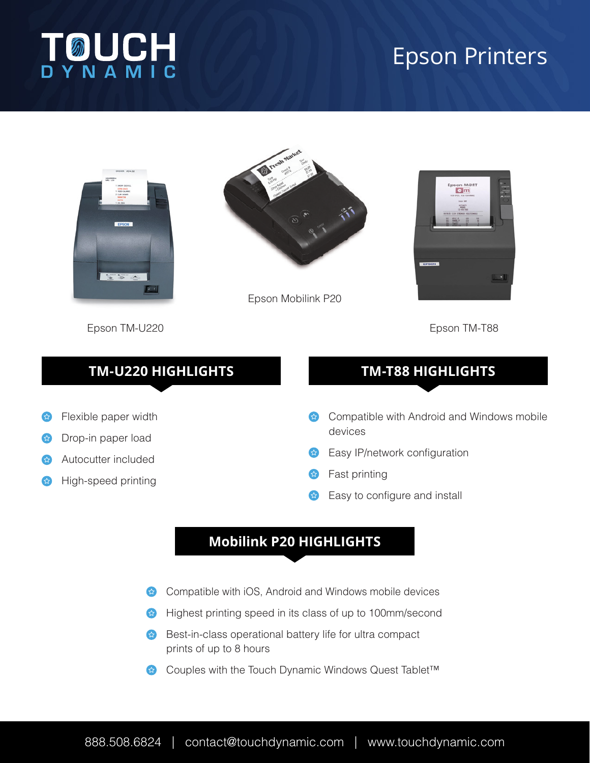

# Epson Printers



Flexible paper width

Drop-in paper load

公

 $\mathcal{L}$ 

Autocutter included

High-speed printing



Epson Mobilink P20



Epson TM-U220

Epson TM-T88

# **TM-U220 HIGHLIGHTS**

# **TM-T88 HIGHLIGHTS**

- Compatible with Android and Windows mobile  $\left( \frac{1}{2} \right)$ devices
- Easy IP/network configuration ☆
- **B** Fast printing
- Easy to configure and install

# **Mobilink P20 HIGHLIGHTS**

- Compatible with iOS, Android and Windows mobile devices 公
- Highest printing speed in its class of up to 100mm/second  $\left( \boldsymbol{\mathcal{L}}\right)$
- Best-in-class operational battery life for ultra compact  $\left( \frac{1}{2} \right)$ prints of up to 8 hours
- 公 Couples with the Touch Dynamic Windows Quest Tablet™